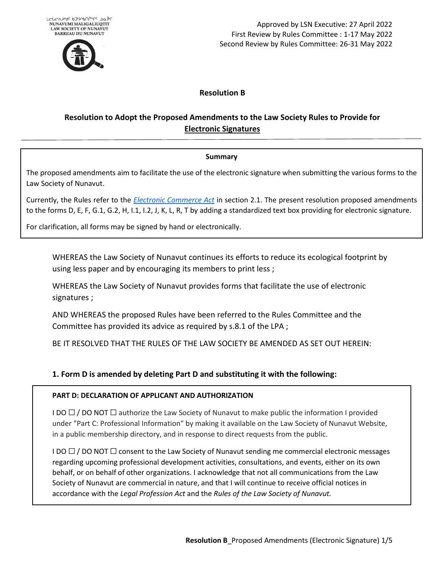

Approved by LSN Executive: 27 April 2022 First Review by Rules Committee : 1-17 May 2022 Second Review by Rules Committee: 26-31 May 2022

## **Resolution B**

# **Resolution to Adopt the Proposed Amendments to the Law Society Rules to Provide for Electronic Signatures**

#### **Summary**

The proposed amendments aim to facilitate the use of the electronic signature when submitting the various forms to the Law Society of Nunavut.

Currently, the Rules refer to the *[Electronic Commerce Act](https://www.nunavutlegislation.ca/en/consolidated-law/electronic-commerce-act-consolidation)* in section 2.1. The present resolution proposed amendments to the forms D, E, F, G.1, G.2, H, I.1, I.2, J, K, L, R, T by adding a standardized text box providing for electronic signature.

For clarification, all forms may be signed by hand or electronically.

WHEREAS the Law Society of Nunavut continues its efforts to reduce its ecological footprint by using less paper and by encouraging its members to print less ;

WHEREAS the Law Society of Nunavut provides forms that facilitate the use of electronic signatures ;

AND WHEREAS the proposed Rules have been referred to the Rules Committee and the Committee has provided its advice as required by s.8.1 of the LPA ;

BE IT RESOLVED THAT THE RULES OF THE LAW SOCIETY BE AMENDED AS SET OUT HEREIN:

## **1. Form D is amended by deleting Part D and substituting it with the following:**

#### **PART D: DECLARATION OF APPLICANT AND AUTHORIZATION**

I DO  $\Box$  / DO NOT  $\Box$  authorize the Law Society of Nunavut to make public the information I provided under "Part C: Professional Information" by making it available on the Law Society of Nunavut Website, in a public membership directory, and in response to direct requests from the public.

I DO  $\Box$  / DO NOT  $\Box$  consent to the Law Society of Nunavut sending me commercial electronic messages regarding upcoming professional development activities, consultations, and events, either on its own behalf, or on behalf of other organizations. I acknowledge that not all communications from the Law Society of Nunavut are commercial in nature, and that I will continue to receive official notices in accordance with the *Legal Profession Act* and the *Rules of the Law Society of Nunavut.*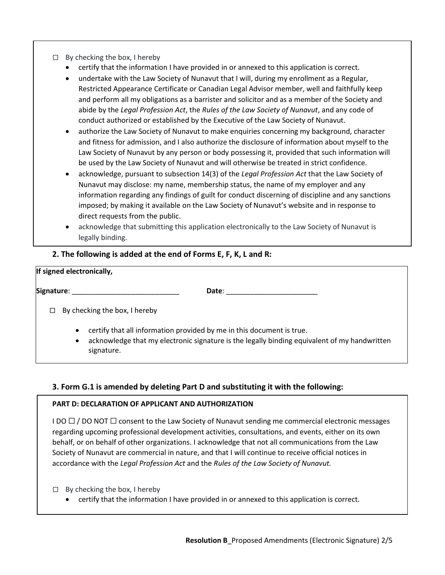- □ By checking the box, I hereby
	- certify that the information I have provided in or annexed to this application is correct.
	- undertake with the Law Society of Nunavut that I will, during my enrollment as a Regular, Restricted Appearance Certificate or Canadian Legal Advisor member, well and faithfully keep and perform all my obligations as a barrister and solicitor and as a member of the Society and abide by the *Legal Profession Act*, the *Rules of the Law Society of Nunavut*, and any code of conduct authorized or established by the Executive of the Law Society of Nunavut.
	- authorize the Law Society of Nunavut to make enquiries concerning my background, character and fitness for admission, and I also authorize the disclosure of information about myself to the Law Society of Nunavut by any person or body possessing it, provided that such information will be used by the Law Society of Nunavut and will otherwise be treated in strict confidence.
	- acknowledge, pursuant to subsection 14(3) of the *Legal Profession Act* that the Law Society of Nunavut may disclose: my name, membership status, the name of my employer and any information regarding any findings of guilt for conduct discerning of discipline and any sanctions imposed; by making it available on the Law Society of Nunavut's website and in response to direct requests from the public.
	- acknowledge that submitting this application electronically to the Law Society of Nunavut is legally binding.

## **2. The following is added at the end of Forms E, F, K, L and R:**

# **If signed electronically, Signature**: \_\_\_\_\_\_\_\_\_\_\_\_\_\_\_\_\_\_\_\_\_\_\_\_\_\_\_ **Date**: \_\_\_\_\_\_\_\_\_\_\_\_\_\_\_\_\_\_\_\_\_\_\_  $\Box$  By checking the box, I hereby • certify that all information provided by me in this document is true. • acknowledge that my electronic signature is the legally binding equivalent of my handwritten signature.

## **3. Form G.1 is amended by deleting Part D and substituting it with the following:**

#### **PART D: DECLARATION OF APPLICANT AND AUTHORIZATION**

I DO  $\Box$  / DO NOT  $\Box$  consent to the Law Society of Nunavut sending me commercial electronic messages regarding upcoming professional development activities, consultations, and events, either on its own behalf, or on behalf of other organizations. I acknowledge that not all communications from the Law Society of Nunavut are commercial in nature, and that I will continue to receive official notices in accordance with the *Legal Profession Act* and the *Rules of the Law Society of Nunavut.*

- $\Box$  By checking the box, I hereby
	- certify that the information I have provided in or annexed to this application is correct.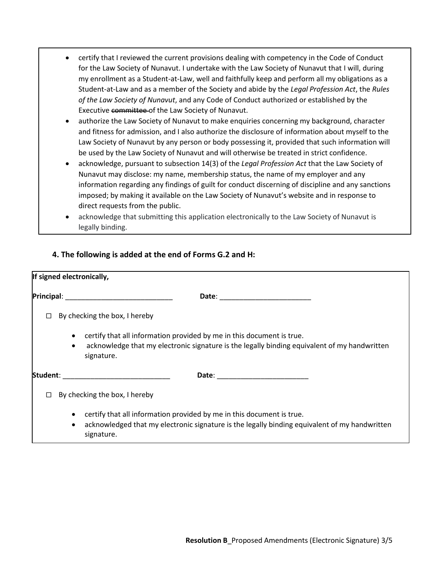- certify that I reviewed the current provisions dealing with competency in the Code of Conduct for the Law Society of Nunavut. I undertake with the Law Society of Nunavut that I will, during my enrollment as a Student-at-Law, well and faithfully keep and perform all my obligations as a Student-at-Law and as a member of the Society and abide by the *Legal Profession Act*, the *Rules of the Law Society of Nunavut*, and any Code of Conduct authorized or established by the Executive committee of the Law Society of Nunavut.
- authorize the Law Society of Nunavut to make enquiries concerning my background, character and fitness for admission, and I also authorize the disclosure of information about myself to the Law Society of Nunavut by any person or body possessing it, provided that such information will be used by the Law Society of Nunavut and will otherwise be treated in strict confidence.
- acknowledge, pursuant to subsection 14(3) of the *Legal Profession Act* that the Law Society of Nunavut may disclose: my name, membership status, the name of my employer and any information regarding any findings of guilt for conduct discerning of discipline and any sanctions imposed; by making it available on the Law Society of Nunavut's website and in response to direct requests from the public.
- acknowledge that submitting this application electronically to the Law Society of Nunavut is legally binding.

# **4. The following is added at the end of Forms G.2 and H:**

| If signed electronically, |                                                                                                                                                                                                                                |
|---------------------------|--------------------------------------------------------------------------------------------------------------------------------------------------------------------------------------------------------------------------------|
|                           | Date: the contract of the contract of the contract of the contract of the contract of the contract of the contract of the contract of the contract of the contract of the contract of the contract of the contract of the cont |
| □                         | By checking the box, I hereby                                                                                                                                                                                                  |
| $\bullet$<br>$\bullet$    | certify that all information provided by me in this document is true.<br>acknowledge that my electronic signature is the legally binding equivalent of my handwritten<br>signature.                                            |
| Student:                  | Date: __ <b>___________________</b> _____                                                                                                                                                                                      |
|                           | By checking the box, I hereby                                                                                                                                                                                                  |
| $\bullet$<br>$\bullet$    | certify that all information provided by me in this document is true.<br>acknowledged that my electronic signature is the legally binding equivalent of my handwritten<br>signature.                                           |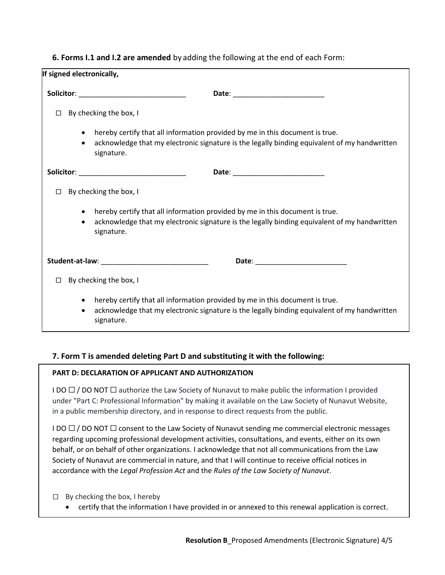## **6. Forms I.1 and I.2 are amended** by adding the following at the end of each Form:

| If signed electronically, |                                                                                                                                                                                            |
|---------------------------|--------------------------------------------------------------------------------------------------------------------------------------------------------------------------------------------|
|                           | Solicitor: _________________________________                                                                                                                                               |
| $\Box$                    | By checking the box, I                                                                                                                                                                     |
| $\bullet$<br>$\bullet$    | hereby certify that all information provided by me in this document is true.<br>acknowledge that my electronic signature is the legally binding equivalent of my handwritten<br>signature. |
|                           | Solicitor: _______________________________                                                                                                                                                 |
| $\Box$                    | By checking the box, I                                                                                                                                                                     |
| $\bullet$<br>$\bullet$    | hereby certify that all information provided by me in this document is true.<br>acknowledge that my electronic signature is the legally binding equivalent of my handwritten<br>signature. |
|                           |                                                                                                                                                                                            |
| П.                        | By checking the box, I                                                                                                                                                                     |
| $\bullet$<br>$\bullet$    | hereby certify that all information provided by me in this document is true.<br>acknowledge that my electronic signature is the legally binding equivalent of my handwritten<br>signature. |

# **7. Form T is amended deleting Part D and substituting it with the following:**

## **PART D: DECLARATION OF APPLICANT AND AUTHORIZATION**

I DO  $\Box$  / DO NOT  $\Box$  authorize the Law Society of Nunavut to make public the information I provided under "Part C: Professional Information" by making it available on the Law Society of Nunavut Website, in a public membership directory, and in response to direct requests from the public.

I DO  $\Box$  / DO NOT  $\Box$  consent to the Law Society of Nunavut sending me commercial electronic messages regarding upcoming professional development activities, consultations, and events, either on its own behalf, or on behalf of other organizations. I acknowledge that not all communications from the Law Society of Nunavut are commercial in nature, and that I will continue to receive official notices in accordance with the *Legal Profession Act* and the *Rules of the Law Society of Nunavut*.

- $\Box$  By checking the box, I hereby
	- certify that the information I have provided in or annexed to this renewal application is correct.